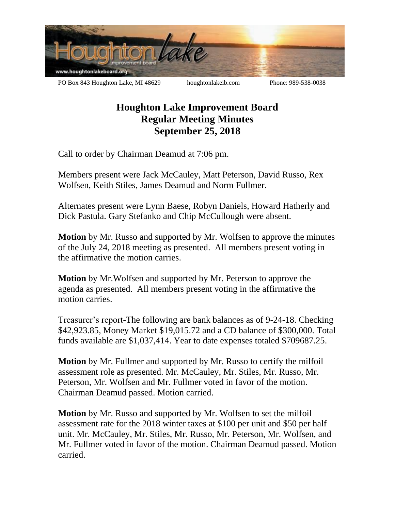

## **Houghton Lake Improvement Board Regular Meeting Minutes September 25, 2018**

Call to order by Chairman Deamud at 7:06 pm.

Members present were Jack McCauley, Matt Peterson, David Russo, Rex Wolfsen, Keith Stiles, James Deamud and Norm Fullmer.

Alternates present were Lynn Baese, Robyn Daniels, Howard Hatherly and Dick Pastula. Gary Stefanko and Chip McCullough were absent.

**Motion** by Mr. Russo and supported by Mr. Wolfsen to approve the minutes of the July 24, 2018 meeting as presented. All members present voting in the affirmative the motion carries.

**Motion** by Mr.Wolfsen and supported by Mr. Peterson to approve the agenda as presented. All members present voting in the affirmative the motion carries.

Treasurer's report-The following are bank balances as of 9-24-18. Checking \$42,923.85, Money Market \$19,015.72 and a CD balance of \$300,000. Total funds available are \$1,037,414. Year to date expenses totaled \$709687.25.

**Motion** by Mr. Fullmer and supported by Mr. Russo to certify the milfoil assessment role as presented. Mr. McCauley, Mr. Stiles, Mr. Russo, Mr. Peterson, Mr. Wolfsen and Mr. Fullmer voted in favor of the motion. Chairman Deamud passed. Motion carried.

**Motion** by Mr. Russo and supported by Mr. Wolfsen to set the milfoil assessment rate for the 2018 winter taxes at \$100 per unit and \$50 per half unit. Mr. McCauley, Mr. Stiles, Mr. Russo, Mr. Peterson, Mr. Wolfsen, and Mr. Fullmer voted in favor of the motion. Chairman Deamud passed. Motion carried.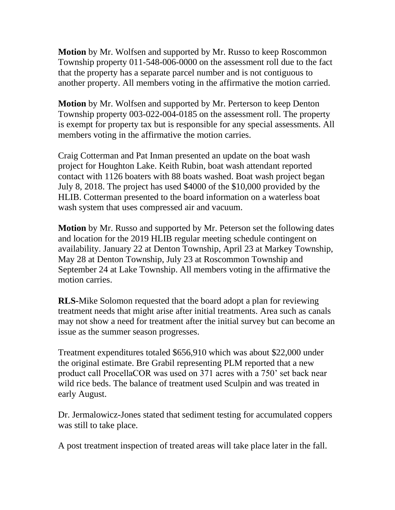**Motion** by Mr. Wolfsen and supported by Mr. Russo to keep Roscommon Township property 011-548-006-0000 on the assessment roll due to the fact that the property has a separate parcel number and is not contiguous to another property. All members voting in the affirmative the motion carried.

**Motion** by Mr. Wolfsen and supported by Mr. Perterson to keep Denton Township property 003-022-004-0185 on the assessment roll. The property is exempt for property tax but is responsible for any special assessments. All members voting in the affirmative the motion carries.

Craig Cotterman and Pat Inman presented an update on the boat wash project for Houghton Lake. Keith Rubin, boat wash attendant reported contact with 1126 boaters with 88 boats washed. Boat wash project began July 8, 2018. The project has used \$4000 of the \$10,000 provided by the HLIB. Cotterman presented to the board information on a waterless boat wash system that uses compressed air and vacuum.

**Motion** by Mr. Russo and supported by Mr. Peterson set the following dates and location for the 2019 HLIB regular meeting schedule contingent on availability. January 22 at Denton Township, April 23 at Markey Township, May 28 at Denton Township, July 23 at Roscommon Township and September 24 at Lake Township. All members voting in the affirmative the motion carries.

**RLS-**Mike Solomon requested that the board adopt a plan for reviewing treatment needs that might arise after initial treatments. Area such as canals may not show a need for treatment after the initial survey but can become an issue as the summer season progresses.

Treatment expenditures totaled \$656,910 which was about \$22,000 under the original estimate. Bre Grabil representing PLM reported that a new product call ProcellaCOR was used on 371 acres with a 750' set back near wild rice beds. The balance of treatment used Sculpin and was treated in early August.

Dr. Jermalowicz-Jones stated that sediment testing for accumulated coppers was still to take place.

A post treatment inspection of treated areas will take place later in the fall.